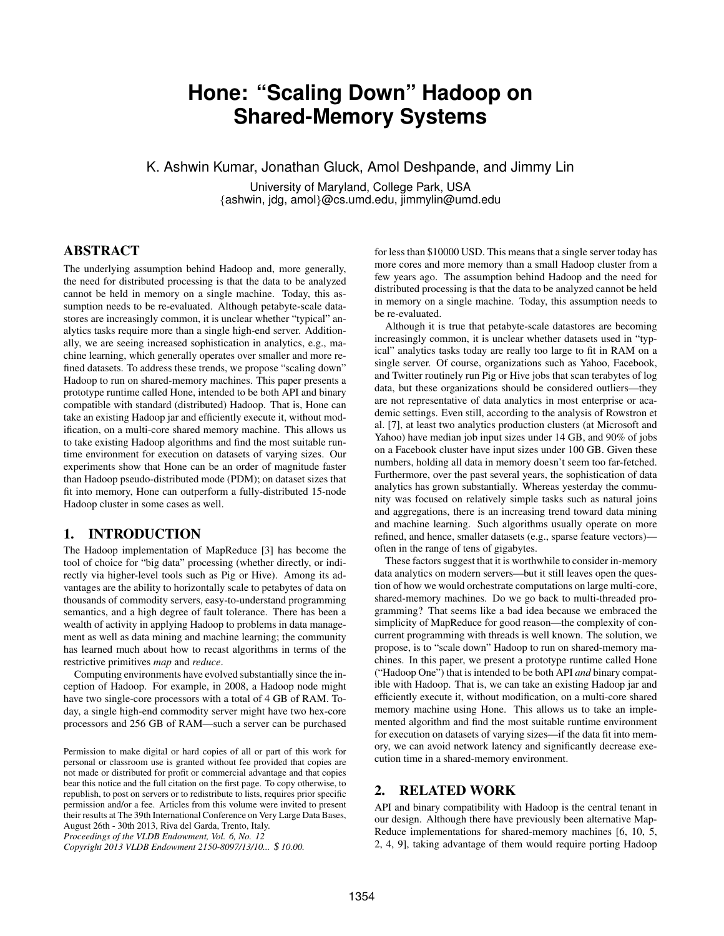# **Hone: "Scaling Down" Hadoop on Shared-Memory Systems**

K. Ashwin Kumar, Jonathan Gluck, Amol Deshpande, and Jimmy Lin

University of Maryland, College Park, USA {ashwin, jdg, amol}@cs.umd.edu, jimmylin@umd.edu

# ABSTRACT

The underlying assumption behind Hadoop and, more generally, the need for distributed processing is that the data to be analyzed cannot be held in memory on a single machine. Today, this assumption needs to be re-evaluated. Although petabyte-scale datastores are increasingly common, it is unclear whether "typical" analytics tasks require more than a single high-end server. Additionally, we are seeing increased sophistication in analytics, e.g., machine learning, which generally operates over smaller and more refined datasets. To address these trends, we propose "scaling down" Hadoop to run on shared-memory machines. This paper presents a prototype runtime called Hone, intended to be both API and binary compatible with standard (distributed) Hadoop. That is, Hone can take an existing Hadoop jar and efficiently execute it, without modification, on a multi-core shared memory machine. This allows us to take existing Hadoop algorithms and find the most suitable runtime environment for execution on datasets of varying sizes. Our experiments show that Hone can be an order of magnitude faster than Hadoop pseudo-distributed mode (PDM); on dataset sizes that fit into memory, Hone can outperform a fully-distributed 15-node Hadoop cluster in some cases as well.

## 1. INTRODUCTION

The Hadoop implementation of MapReduce [3] has become the tool of choice for "big data" processing (whether directly, or indirectly via higher-level tools such as Pig or Hive). Among its advantages are the ability to horizontally scale to petabytes of data on thousands of commodity servers, easy-to-understand programming semantics, and a high degree of fault tolerance. There has been a wealth of activity in applying Hadoop to problems in data management as well as data mining and machine learning; the community has learned much about how to recast algorithms in terms of the restrictive primitives *map* and *reduce*.

Computing environments have evolved substantially since the inception of Hadoop. For example, in 2008, a Hadoop node might have two single-core processors with a total of 4 GB of RAM. Today, a single high-end commodity server might have two hex-core processors and 256 GB of RAM—such a server can be purchased

*Copyright 2013 VLDB Endowment 2150-8097/13/10...* \$ *10.00.*

for less than \$10000 USD. This means that a single server today has more cores and more memory than a small Hadoop cluster from a few years ago. The assumption behind Hadoop and the need for distributed processing is that the data to be analyzed cannot be held in memory on a single machine. Today, this assumption needs to be re-evaluated.

Although it is true that petabyte-scale datastores are becoming increasingly common, it is unclear whether datasets used in "typical" analytics tasks today are really too large to fit in RAM on a single server. Of course, organizations such as Yahoo, Facebook, and Twitter routinely run Pig or Hive jobs that scan terabytes of log data, but these organizations should be considered outliers—they are not representative of data analytics in most enterprise or academic settings. Even still, according to the analysis of Rowstron et al. [7], at least two analytics production clusters (at Microsoft and Yahoo) have median job input sizes under 14 GB, and 90% of jobs on a Facebook cluster have input sizes under 100 GB. Given these numbers, holding all data in memory doesn't seem too far-fetched. Furthermore, over the past several years, the sophistication of data analytics has grown substantially. Whereas yesterday the community was focused on relatively simple tasks such as natural joins and aggregations, there is an increasing trend toward data mining and machine learning. Such algorithms usually operate on more refined, and hence, smaller datasets (e.g., sparse feature vectors) often in the range of tens of gigabytes.

These factors suggest that it is worthwhile to consider in-memory data analytics on modern servers—but it still leaves open the question of how we would orchestrate computations on large multi-core, shared-memory machines. Do we go back to multi-threaded programming? That seems like a bad idea because we embraced the simplicity of MapReduce for good reason—the complexity of concurrent programming with threads is well known. The solution, we propose, is to "scale down" Hadoop to run on shared-memory machines. In this paper, we present a prototype runtime called Hone ("Hadoop One") that is intended to be both API *and* binary compatible with Hadoop. That is, we can take an existing Hadoop jar and efficiently execute it, without modification, on a multi-core shared memory machine using Hone. This allows us to take an implemented algorithm and find the most suitable runtime environment for execution on datasets of varying sizes—if the data fit into memory, we can avoid network latency and significantly decrease execution time in a shared-memory environment.

## 2. RELATED WORK

API and binary compatibility with Hadoop is the central tenant in our design. Although there have previously been alternative Map-Reduce implementations for shared-memory machines [6, 10, 5, 2, 4, 9], taking advantage of them would require porting Hadoop

Permission to make digital or hard copies of all or part of this work for personal or classroom use is granted without fee provided that copies are not made or distributed for profit or commercial advantage and that copies bear this notice and the full citation on the first page. To copy otherwise, to republish, to post on servers or to redistribute to lists, requires prior specific permission and/or a fee. Articles from this volume were invited to present their results at The 39th International Conference on Very Large Data Bases, August 26th - 30th 2013, Riva del Garda, Trento, Italy. *Proceedings of the VLDB Endowment, Vol. 6, No. 12*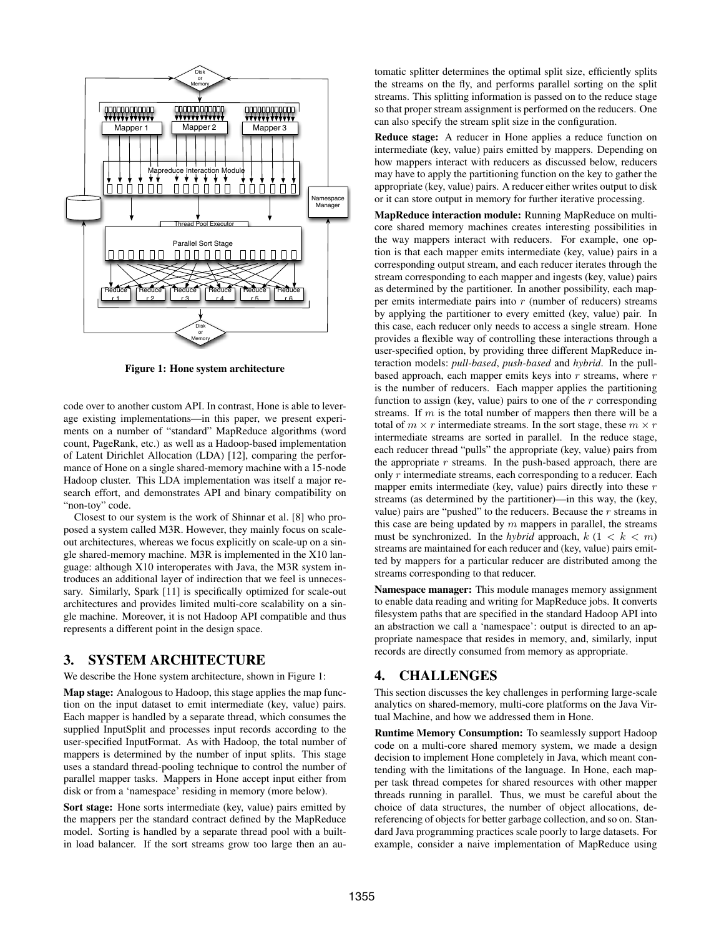

Figure 1: Hone system architecture

code over to another custom API. In contrast, Hone is able to leverage existing implementations—in this paper, we present experiments on a number of "standard" MapReduce algorithms (word count, PageRank, etc.) as well as a Hadoop-based implementation of Latent Dirichlet Allocation (LDA) [12], comparing the performance of Hone on a single shared-memory machine with a 15-node Hadoop cluster. This LDA implementation was itself a major research effort, and demonstrates API and binary compatibility on "non-toy" code.

Closest to our system is the work of Shinnar et al. [8] who proposed a system called M3R. However, they mainly focus on scaleout architectures, whereas we focus explicitly on scale-up on a single shared-memory machine. M3R is implemented in the X10 language: although X10 interoperates with Java, the M3R system introduces an additional layer of indirection that we feel is unnecessary. Similarly, Spark [11] is specifically optimized for scale-out architectures and provides limited multi-core scalability on a single machine. Moreover, it is not Hadoop API compatible and thus represents a different point in the design space.

## 3. SYSTEM ARCHITECTURE

We describe the Hone system architecture, shown in Figure 1:

Map stage: Analogous to Hadoop, this stage applies the map function on the input dataset to emit intermediate (key, value) pairs. Each mapper is handled by a separate thread, which consumes the supplied InputSplit and processes input records according to the user-specified InputFormat. As with Hadoop, the total number of mappers is determined by the number of input splits. This stage uses a standard thread-pooling technique to control the number of parallel mapper tasks. Mappers in Hone accept input either from disk or from a 'namespace' residing in memory (more below).

Sort stage: Hone sorts intermediate (key, value) pairs emitted by the mappers per the standard contract defined by the MapReduce model. Sorting is handled by a separate thread pool with a builtin load balancer. If the sort streams grow too large then an automatic splitter determines the optimal split size, efficiently splits the streams on the fly, and performs parallel sorting on the split streams. This splitting information is passed on to the reduce stage so that proper stream assignment is performed on the reducers. One can also specify the stream split size in the configuration.

Reduce stage: A reducer in Hone applies a reduce function on intermediate (key, value) pairs emitted by mappers. Depending on how mappers interact with reducers as discussed below, reducers may have to apply the partitioning function on the key to gather the appropriate (key, value) pairs. A reducer either writes output to disk or it can store output in memory for further iterative processing.

MapReduce interaction module: Running MapReduce on multicore shared memory machines creates interesting possibilities in the way mappers interact with reducers. For example, one option is that each mapper emits intermediate (key, value) pairs in a corresponding output stream, and each reducer iterates through the stream corresponding to each mapper and ingests (key, value) pairs as determined by the partitioner. In another possibility, each mapper emits intermediate pairs into  $r$  (number of reducers) streams by applying the partitioner to every emitted (key, value) pair. In this case, each reducer only needs to access a single stream. Hone provides a flexible way of controlling these interactions through a user-specified option, by providing three different MapReduce interaction models: *pull-based*, *push-based* and *hybrid*. In the pullbased approach, each mapper emits keys into  $r$  streams, where  $r$ is the number of reducers. Each mapper applies the partitioning function to assign (key, value) pairs to one of the  $r$  corresponding streams. If  $m$  is the total number of mappers then there will be a total of  $m \times r$  intermediate streams. In the sort stage, these  $m \times r$ intermediate streams are sorted in parallel. In the reduce stage, each reducer thread "pulls" the appropriate (key, value) pairs from the appropriate  $r$  streams. In the push-based approach, there are only r intermediate streams, each corresponding to a reducer. Each mapper emits intermediate (key, value) pairs directly into these  $r$ streams (as determined by the partitioner)—in this way, the (key, value) pairs are "pushed" to the reducers. Because the  $r$  streams in this case are being updated by  $m$  mappers in parallel, the streams must be synchronized. In the *hybrid* approach,  $k(1 \lt k \lt m)$ streams are maintained for each reducer and (key, value) pairs emitted by mappers for a particular reducer are distributed among the streams corresponding to that reducer.

Namespace manager: This module manages memory assignment to enable data reading and writing for MapReduce jobs. It converts filesystem paths that are specified in the standard Hadoop API into an abstraction we call a 'namespace': output is directed to an appropriate namespace that resides in memory, and, similarly, input records are directly consumed from memory as appropriate.

## 4. CHALLENGES

This section discusses the key challenges in performing large-scale analytics on shared-memory, multi-core platforms on the Java Virtual Machine, and how we addressed them in Hone.

Runtime Memory Consumption: To seamlessly support Hadoop code on a multi-core shared memory system, we made a design decision to implement Hone completely in Java, which meant contending with the limitations of the language. In Hone, each mapper task thread competes for shared resources with other mapper threads running in parallel. Thus, we must be careful about the choice of data structures, the number of object allocations, dereferencing of objects for better garbage collection, and so on. Standard Java programming practices scale poorly to large datasets. For example, consider a naive implementation of MapReduce using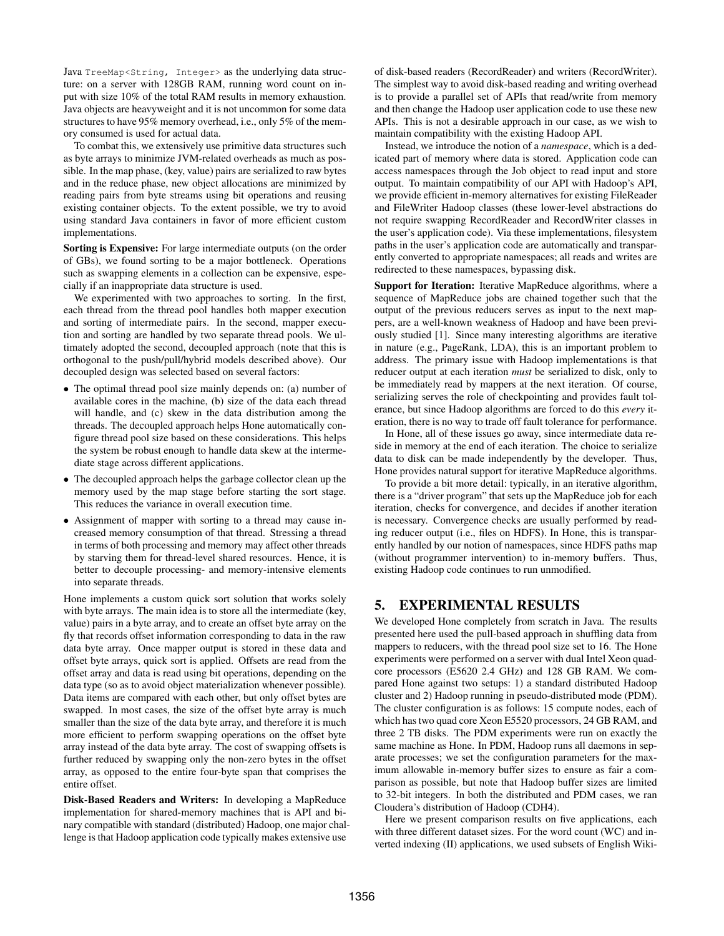Java TreeMap<String, Integer> as the underlying data structure: on a server with 128GB RAM, running word count on input with size 10% of the total RAM results in memory exhaustion. Java objects are heavyweight and it is not uncommon for some data structures to have 95% memory overhead, i.e., only 5% of the memory consumed is used for actual data.

To combat this, we extensively use primitive data structures such as byte arrays to minimize JVM-related overheads as much as possible. In the map phase, (key, value) pairs are serialized to raw bytes and in the reduce phase, new object allocations are minimized by reading pairs from byte streams using bit operations and reusing existing container objects. To the extent possible, we try to avoid using standard Java containers in favor of more efficient custom implementations.

Sorting is Expensive: For large intermediate outputs (on the order of GBs), we found sorting to be a major bottleneck. Operations such as swapping elements in a collection can be expensive, especially if an inappropriate data structure is used.

We experimented with two approaches to sorting. In the first, each thread from the thread pool handles both mapper execution and sorting of intermediate pairs. In the second, mapper execution and sorting are handled by two separate thread pools. We ultimately adopted the second, decoupled approach (note that this is orthogonal to the push/pull/hybrid models described above). Our decoupled design was selected based on several factors:

- The optimal thread pool size mainly depends on: (a) number of available cores in the machine, (b) size of the data each thread will handle, and (c) skew in the data distribution among the threads. The decoupled approach helps Hone automatically configure thread pool size based on these considerations. This helps the system be robust enough to handle data skew at the intermediate stage across different applications.
- The decoupled approach helps the garbage collector clean up the memory used by the map stage before starting the sort stage. This reduces the variance in overall execution time.
- Assignment of mapper with sorting to a thread may cause increased memory consumption of that thread. Stressing a thread in terms of both processing and memory may affect other threads by starving them for thread-level shared resources. Hence, it is better to decouple processing- and memory-intensive elements into separate threads.

Hone implements a custom quick sort solution that works solely with byte arrays. The main idea is to store all the intermediate (key, value) pairs in a byte array, and to create an offset byte array on the fly that records offset information corresponding to data in the raw data byte array. Once mapper output is stored in these data and offset byte arrays, quick sort is applied. Offsets are read from the offset array and data is read using bit operations, depending on the data type (so as to avoid object materialization whenever possible). Data items are compared with each other, but only offset bytes are swapped. In most cases, the size of the offset byte array is much smaller than the size of the data byte array, and therefore it is much more efficient to perform swapping operations on the offset byte array instead of the data byte array. The cost of swapping offsets is further reduced by swapping only the non-zero bytes in the offset array, as opposed to the entire four-byte span that comprises the entire offset.

Disk-Based Readers and Writers: In developing a MapReduce implementation for shared-memory machines that is API and binary compatible with standard (distributed) Hadoop, one major challenge is that Hadoop application code typically makes extensive use

of disk-based readers (RecordReader) and writers (RecordWriter). The simplest way to avoid disk-based reading and writing overhead is to provide a parallel set of APIs that read/write from memory and then change the Hadoop user application code to use these new APIs. This is not a desirable approach in our case, as we wish to maintain compatibility with the existing Hadoop API.

Instead, we introduce the notion of a *namespace*, which is a dedicated part of memory where data is stored. Application code can access namespaces through the Job object to read input and store output. To maintain compatibility of our API with Hadoop's API, we provide efficient in-memory alternatives for existing FileReader and FileWriter Hadoop classes (these lower-level abstractions do not require swapping RecordReader and RecordWriter classes in the user's application code). Via these implementations, filesystem paths in the user's application code are automatically and transparently converted to appropriate namespaces; all reads and writes are redirected to these namespaces, bypassing disk.

Support for Iteration: Iterative MapReduce algorithms, where a sequence of MapReduce jobs are chained together such that the output of the previous reducers serves as input to the next mappers, are a well-known weakness of Hadoop and have been previously studied [1]. Since many interesting algorithms are iterative in nature (e.g., PageRank, LDA), this is an important problem to address. The primary issue with Hadoop implementations is that reducer output at each iteration *must* be serialized to disk, only to be immediately read by mappers at the next iteration. Of course, serializing serves the role of checkpointing and provides fault tolerance, but since Hadoop algorithms are forced to do this *every* iteration, there is no way to trade off fault tolerance for performance.

In Hone, all of these issues go away, since intermediate data reside in memory at the end of each iteration. The choice to serialize data to disk can be made independently by the developer. Thus, Hone provides natural support for iterative MapReduce algorithms.

To provide a bit more detail: typically, in an iterative algorithm, there is a "driver program" that sets up the MapReduce job for each iteration, checks for convergence, and decides if another iteration is necessary. Convergence checks are usually performed by reading reducer output (i.e., files on HDFS). In Hone, this is transparently handled by our notion of namespaces, since HDFS paths map (without programmer intervention) to in-memory buffers. Thus, existing Hadoop code continues to run unmodified.

# 5. EXPERIMENTAL RESULTS

We developed Hone completely from scratch in Java. The results presented here used the pull-based approach in shuffling data from mappers to reducers, with the thread pool size set to 16. The Hone experiments were performed on a server with dual Intel Xeon quadcore processors (E5620 2.4 GHz) and 128 GB RAM. We compared Hone against two setups: 1) a standard distributed Hadoop cluster and 2) Hadoop running in pseudo-distributed mode (PDM). The cluster configuration is as follows: 15 compute nodes, each of which has two quad core Xeon E5520 processors, 24 GB RAM, and three 2 TB disks. The PDM experiments were run on exactly the same machine as Hone. In PDM, Hadoop runs all daemons in separate processes; we set the configuration parameters for the maximum allowable in-memory buffer sizes to ensure as fair a comparison as possible, but note that Hadoop buffer sizes are limited to 32-bit integers. In both the distributed and PDM cases, we ran Cloudera's distribution of Hadoop (CDH4).

Here we present comparison results on five applications, each with three different dataset sizes. For the word count (WC) and inverted indexing (II) applications, we used subsets of English Wiki-